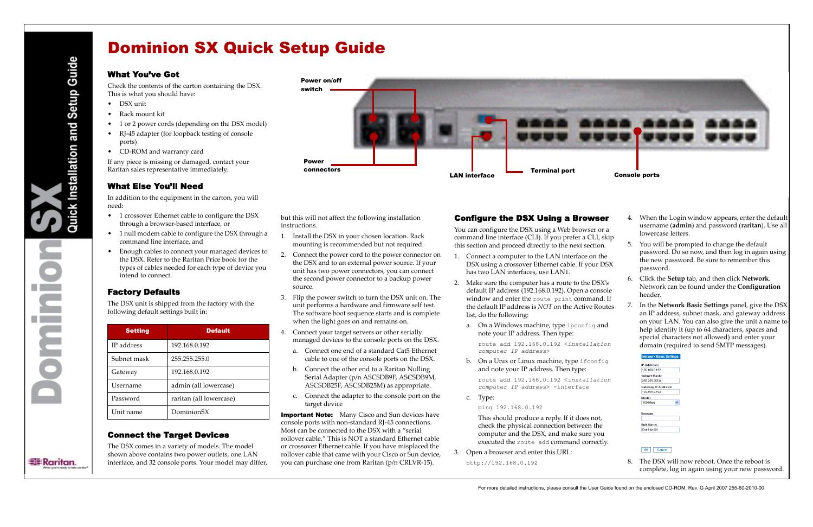a post

**Edge** 

# What You've Got

Check the contents of the carton containing the DSX. This is what you should have:

- DSX unit
- Rack mount kit
- 1 or 2 power cords (depending on the DSX model)
- RJ‐45 adapter (for loopback testing of console ports)
- CD‐ROM and warranty card

If any piece is missing or damaged, contact your Raritan sales representative immediately.

## What Else You'll Need

In addition to the equipment in the carton, you will need:

- 1 crossover Ethernet cable to configure the DSX through a browser‐based interface, or
- 1 null modem cable to configure the DSX through a command line interface, and
- Enough cables to connect your managed devices to the DSX. Refer to the Raritan Price book for the types of cables needed for each type of device you intend to connect.

# Factory Defaults

The DSX unit is shipped from the factory with the following default settings built in:

# Connect the Target Devices

The DSX comes in a variety of models. The model shown above contains two power outlets, one LAN interface, and 32 console ports. Your model may differ,

| <b>Setting</b> | <b>Default</b>          |
|----------------|-------------------------|
| IP address     | 192.168.0.192           |
| Subnet mask    | 255.255.255.0           |
| Gateway        | 192.168.0.192           |
| Username       | admin (all lowercase)   |
| Password       | raritan (all lowercase) |
| Unit name      | DominionSX              |

**Important Note:** Many Cisco and Sun devices have console ports with non‐standard RJ‐45 connections. Most can be connected to the DSX with a "serial rollover cable." This is NOT a standard Ethernet cable or crossover Ethernet cable. If you have misplaced the rollover cable that came with your Cisco or Sun device, you can purchase one from Raritan (p/n CRLVR‐15).

# **Configure the DSX Using a Brows**

You can configure the DSX using a Web browser command line interface (CLI). If you prefer a CLI this section and proceed directly to the next section.

but this will not affect the following installation instructions.

- 1. Connect a computer to the LAN interface on DSX using a crossover Ethernet cable. If your has two LAN interfaces, use LAN1.
- 2. Make sure the computer has a route to the DS default IP address (192.168.0.192). Open a con window and enter the route print comman the default IP address is *NOT* on the Active Route list, do the following:
	- a. On a Windows machine, type ipconfig  $\varepsilon$ note your IP address. Then type: route add 192.168.0.192 <*installation*

b. On a Unix or Linux machine, type ifcon: and note your IP address. Then type:

> This should produce a reply. If it does not, check the physical connection between the computer and the DSX, and make sure you executed the route add command correctly.

- 1. Install the DSX in your chosen location. Rack mounting is recommended but not required.
- 2. Connect the power cord to the power connector on the DSX and to an external power source. If your unit has two power connectors, you can connect the second power connector to a backup power source.
- 3. Flip the power switch to turn the DSX unit on. The unit performs a hardware and firmware self test. The software boot sequence starts and is complete when the light goes on and remains on.
- Connect your target servers or other serially managed devices to the console ports on the DSX.
	- a. Connect one end of a standard Cat5 Ethernet cable to one of the console ports on the DSX.
	- b. Connect the other end to a Raritan Nulling Serial Adapter (p/n ASCSDB9F, ASCSDB9M, ASCSDB25F, ASCSDB25M) as appropriate.
	- c. Connect the adapter to the console port on the target device

*computer IP address*>

route add 192.168.0.192 <*installation computer IP address*> -interface

c. Type:

ping 192.168.0.192

3. Open a browser and enter this URL:

http://192.168.0.192

| er<br>or a<br>, skip     | 4. | When the Login window appears, enter the default<br>username (admin) and password (raritan). Use all<br>lowercase letters.                                |
|--------------------------|----|-----------------------------------------------------------------------------------------------------------------------------------------------------------|
| on.<br>the<br><b>DSX</b> | 5. | You will be prompted to change the default<br>password. Do so now, and then log in again using<br>the new password. Be sure to remember this<br>password. |
| SX's<br>nsole<br>າd. If  | 6. | Click the Setup tab, and then click Network.<br>Network can be found under the Configuration<br>header.                                                   |
| outes                    | 7. | In the Network Basic Settings panel, give the DSX<br>an IP address, subnet mask, and gateway address                                                      |
| and                      |    | on your LAN. You can also give the unit a name to<br>help identify it (up to 64 characters, spaces and                                                    |
| tion                     |    | special characters not allowed) and enter your<br>domain (required to send SMTP messages).                                                                |
| fiq                      |    | <b>Network Basic Settings</b><br>IP Address:<br>192.168.0.192                                                                                             |
| tion                     |    | Subnet Mask:<br>255.255.255.0<br>Gateway IP Address:<br>192.168.0.192<br>Mode:                                                                            |
|                          |    | 100 Mbps                                                                                                                                                  |
| t,<br>ıе<br>эu           |    | Domain:<br>Unit Name:<br><b>DominionSX</b>                                                                                                                |
| ctly.                    |    | OK<br><b>Cancel</b>                                                                                                                                       |

8. The DSX will now reboot. Once the reboot is complete, log in again using your new password.

# Dominion SX Quick Setup Guide